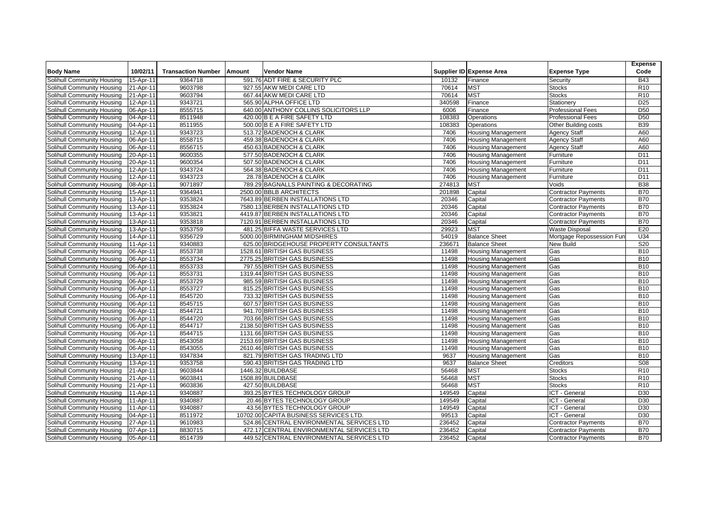|                            |           |                           |        |                                           |        |                           |                            | <b>Expense</b>  |
|----------------------------|-----------|---------------------------|--------|-------------------------------------------|--------|---------------------------|----------------------------|-----------------|
| <b>Body Name</b>           | 10/02/11  | <b>Transaction Number</b> | Amount | Vendor Name                               |        | Supplier ID Expense Area  | <b>Expense Type</b>        | Code            |
| Solihull Community Housing | 15-Apr-11 | 9364718                   |        | 591.76 ADT FIRE & SECURITY PLC            | 10132  | Finance                   | Security                   | <b>B43</b>      |
| Solihull Community Housing | 21-Apr-11 | 9603798                   |        | 927.55 AKW MEDI CARE LTD                  | 70614  | <b>MST</b>                | <b>Stocks</b>              | R <sub>10</sub> |
| Solihull Community Housing | 21-Apr-11 | 9603794                   |        | 667.44 AKW MEDI CARE LTD                  | 70614  | <b>MST</b>                | <b>Stocks</b>              | R <sub>10</sub> |
| Solihull Community Housing | 12-Apr-11 | 9343721                   |        | 565.90 ALPHA OFFICE LTD                   | 340598 | Finance                   | Stationery                 | D <sub>25</sub> |
| Solihull Community Housing | 06-Apr-11 | 8555715                   |        | 640.00 ANTHONY COLLINS SOLICITORS LLP     | 6006   | Finance                   | <b>Professional Fees</b>   | D <sub>50</sub> |
| Solihull Community Housing | 04-Apr-11 | 8511948                   |        | 420.00 B E A FIRE SAFETY LTD              | 108383 | Operations                | <b>Professional Fees</b>   | D <sub>50</sub> |
| Solihull Community Housing | 04-Apr-11 | 8511955                   |        | 500.00 B E A FIRE SAFETY LTD              | 108383 | Operations                | Other Building costs       | <b>B39</b>      |
| Solihull Community Housing | 12-Apr-11 | 9343723                   |        | 513.72 BADENOCH & CLARK                   | 7406   | <b>Housing Management</b> | <b>Agency Staff</b>        | A60             |
| Solihull Community Housing | 06-Apr-11 | 8558715                   |        | 459.38 BADENOCH & CLARK                   | 7406   | <b>Housing Management</b> | <b>Agency Staff</b>        | A60             |
| Solihull Community Housing | 06-Apr-11 | 8556715                   |        | 450.63 BADENOCH & CLARK                   | 7406   | <b>Housing Management</b> | <b>Agency Staff</b>        | A60             |
| Solihull Community Housing | 20-Apr-11 | 9600355                   |        | 577.50 BADENOCH & CLARK                   | 7406   | <b>Housing Management</b> | Furniture                  | D <sub>11</sub> |
| Solihull Community Housing | 20-Apr-11 | 9600354                   |        | 507.50 BADENOCH & CLARK                   | 7406   | <b>Housing Management</b> | Furniture                  | D <sub>11</sub> |
| Solihull Community Housing | 12-Apr-11 | 9343724                   |        | 564.38 BADENOCH & CLARK                   | 7406   | <b>Housing Management</b> | Furniture                  | D <sub>11</sub> |
| Solihull Community Housing | 12-Apr-11 | 9343723                   |        | 28.78 BADENOCH & CLARK                    | 7406   | <b>Housing Management</b> | Furniture                  | D <sub>11</sub> |
| Solihull Community Housing | 08-Apr-11 | 9071897                   |        | 789.29 BAGNALLS PAINTING & DECORATING     | 274813 | <b>MST</b>                | Voids                      | <b>B38</b>      |
| Solihull Community Housing | 15-Apr-11 | 9364941                   |        | 2500.00 BBLB ARCHITECTS                   | 201898 | Capital                   | <b>Contractor Payments</b> | <b>B70</b>      |
| Solihull Community Housing | 13-Apr-11 | 9353824                   |        | 7643.89 BERBEN INSTALLATIONS LTD          | 20346  | Capital                   | <b>Contractor Payments</b> | <b>B70</b>      |
| Solihull Community Housing | 13-Apr-11 | 9353824                   |        | 7580.13 BERBEN INSTALLATIONS LTD          | 20346  | Capital                   | <b>Contractor Payments</b> | <b>B70</b>      |
| Solihull Community Housing | 13-Apr-11 | 9353821                   |        | 4419.87 BERBEN INSTALLATIONS LTD          | 20346  | Capital                   | <b>Contractor Payments</b> | <b>B70</b>      |
| Solihull Community Housing | 13-Apr-11 | 9353818                   |        | 7120.91 BERBEN INSTALLATIONS LTD          | 20346  | Capital                   | <b>Contractor Payments</b> | <b>B70</b>      |
| Solihull Community Housing | 13-Apr-11 | 9353759                   |        | 481.25 BIFFA WASTE SERVICES LTD           | 29923  | <b>MST</b>                | <b>Waste Disposal</b>      | E20             |
| Solihull Community Housing | 14-Apr-11 | 9356729                   |        | 5000.00 BIRMINGHAM MIDSHIRES              | 54019  | <b>Balance Sheet</b>      | Mortgage Repossession Fun  | U34             |
| Solihull Community Housing | 11-Apr-11 | 9340883                   |        | 625.00 BRIDGEHOUSE PROPERTY CONSULTANTS   | 236671 | <b>Balance Sheet</b>      | <b>New Build</b>           | S <sub>20</sub> |
| Solihull Community Housing | 06-Apr-11 | 8553738                   |        | 1528.61 BRITISH GAS BUSINESS              | 11498  | <b>Housing Management</b> | Gas                        | <b>B10</b>      |
| Solihull Community Housing | 06-Apr-11 | 8553734                   |        | 2775.25 BRITISH GAS BUSINESS              | 11498  | <b>Housing Management</b> | Gas                        | <b>B10</b>      |
| Solihull Community Housing | 06-Apr-11 | 8553733                   |        | 797.55 BRITISH GAS BUSINESS               | 11498  | <b>Housing Management</b> | Gas                        | <b>B10</b>      |
| Solihull Community Housing | 06-Apr-11 | 8553731                   |        | 1319.44 BRITISH GAS BUSINESS              | 11498  | <b>Housing Management</b> | Gas                        | <b>B10</b>      |
| Solihull Community Housing | 06-Apr-11 | 8553729                   |        | 985.59 BRITISH GAS BUSINESS               | 11498  | <b>Housing Management</b> | Gas                        | <b>B10</b>      |
| Solihull Community Housing | 06-Apr-11 | 8553727                   |        | 815.25 BRITISH GAS BUSINESS               | 11498  | <b>Housing Management</b> | Gas                        | <b>B10</b>      |
| Solihull Community Housing | 06-Apr-11 | 8545720                   |        | 733.32 BRITISH GAS BUSINESS               | 11498  | <b>Housing Management</b> | Gas                        | <b>B10</b>      |
| Solihull Community Housing | 06-Apr-11 | 8545715                   |        | 607.57 BRITISH GAS BUSINESS               | 11498  | <b>Housing Management</b> | Gas                        | <b>B10</b>      |
| Solihull Community Housing | 06-Apr-11 | 8544721                   |        | 941.70 BRITISH GAS BUSINESS               | 11498  | <b>Housing Management</b> | Gas                        | <b>B10</b>      |
| Solihull Community Housing | 06-Apr-11 | 8544720                   |        | 703.66 BRITISH GAS BUSINESS               | 11498  | <b>Housing Management</b> | Gas                        | <b>B10</b>      |
| Solihull Community Housing | 06-Apr-11 | 8544717                   |        | 2138.50 BRITISH GAS BUSINESS              | 11498  | <b>Housing Management</b> | Gas                        | <b>B10</b>      |
| Solihull Community Housing | 06-Apr-11 | 8544715                   |        | 1131.66 BRITISH GAS BUSINESS              | 11498  | <b>Housing Management</b> | Gas                        | <b>B10</b>      |
| Solihull Community Housing | 06-Apr-11 | 8543058                   |        | 2153.69 BRITISH GAS BUSINESS              | 11498  | <b>Housing Management</b> | Gas                        | <b>B10</b>      |
| Solihull Community Housing | 06-Apr-11 | 8543055                   |        | 2610.46 BRITISH GAS BUSINESS              | 11498  | <b>Housing Management</b> | Gas                        | <b>B10</b>      |
| Solihull Community Housing | 13-Apr-11 | 9347834                   |        | 821.79 BRITISH GAS TRADING LTD            | 9637   | <b>Housing Management</b> | Gas                        | <b>B10</b>      |
| Solihull Community Housing | 13-Apr-11 | 9353758                   |        | 590.43 BRITISH GAS TRADING LTD            | 9637   | <b>Balance Sheet</b>      | Creditors                  | S <sub>08</sub> |
| Solihull Community Housing | 21-Apr-11 | 9603844                   |        | 1446.32 BUILDBASE                         | 56468  | <b>MST</b>                | <b>Stocks</b>              | R <sub>10</sub> |
| Solihull Community Housing | 21-Apr-11 | 9603841                   |        | 1508.89 BUILDBASE                         | 56468  | <b>MST</b>                | <b>Stocks</b>              | R <sub>10</sub> |
| Solihull Community Housing | 21-Apr-11 | 9603836                   |        | 427.50 BUILDBASE                          | 56468  | <b>MST</b>                | <b>Stocks</b>              | R <sub>10</sub> |
| Solihull Community Housing | 11-Apr-11 | 9340887                   |        | 393.25 BYTES TECHNOLOGY GROUP             | 149549 | Capital                   | ICT - General              | D <sub>30</sub> |
| Solihull Community Housing | 11-Apr-11 | 9340887                   |        | 20.46 BYTES TECHNOLOGY GROUP              | 149549 | Capital                   | ICT - General              | D <sub>30</sub> |
| Solihull Community Housing | 11-Apr-11 | 9340887                   |        | 43.56 BYTES TECHNOLOGY GROUP              | 149549 | Capital                   | ICT - General              | D <sub>30</sub> |
| Solihull Community Housing | 04-Apr-11 | 8511972                   |        | 10702.00 CAPITA BUSINESS SERVICES LTD.    | 99513  | Capital                   | ICT - General              | D <sub>30</sub> |
| Solihull Community Housing | 27-Apr-11 | 9610983                   |        | 524.86 CENTRAL ENVIRONMENTAL SERVICES LTD | 236452 | Capital                   | <b>Contractor Payments</b> | <b>B70</b>      |
| Solihull Community Housing | 07-Apr-11 | 8830715                   |        | 472.17 CENTRAL ENVIRONMENTAL SERVICES LTD | 236452 | Capital                   | <b>Contractor Payments</b> | <b>B70</b>      |
| Solihull Community Housing | 05-Apr-11 | 8514739                   |        | 449.52 CENTRAL ENVIRONMENTAL SERVICES LTD | 236452 | Capital                   | <b>Contractor Payments</b> | <b>B70</b>      |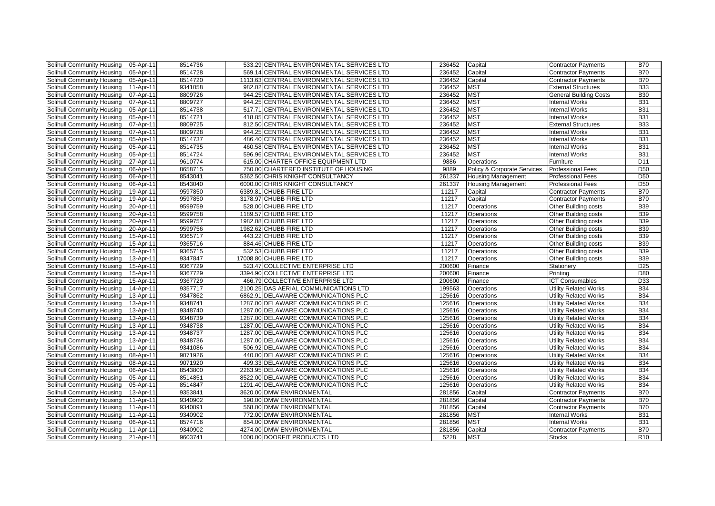| Solihull Community Housing        | 05-Apr-11 | 8514736 | 533.29 CENTRAL ENVIRONMENTAL SERVICES LTD  | 236452 | Capital                     | <b>Contractor Payments</b>   | <b>B70</b>       |
|-----------------------------------|-----------|---------|--------------------------------------------|--------|-----------------------------|------------------------------|------------------|
| Solihull Community Housing        | 05-Apr-11 | 8514728 | 569.14 CENTRAL ENVIRONMENTAL SERVICES LTD  | 236452 | Capital                     | <b>Contractor Payments</b>   | <b>B70</b>       |
| Solihull Community Housing        | 05-Apr-11 | 8514720 | 1113.63 CENTRAL ENVIRONMENTAL SERVICES LTD | 236452 | Capital                     | <b>Contractor Payments</b>   | <b>B70</b>       |
| Solihull Community Housing        | 11-Apr-11 | 9341058 | 982.02 CENTRAL ENVIRONMENTAL SERVICES LTD  | 236452 | <b>MST</b>                  | <b>External Structures</b>   | <b>B33</b>       |
| Solihull Community Housing        | 07-Apr-11 | 8809726 | 944.25 CENTRAL ENVIRONMENTAL SERVICES LTD  | 236452 | <b>MST</b>                  | General Building Costs       | <b>B30</b>       |
| Solihull Community Housing        | 07-Apr-11 | 8809727 | 944.25 CENTRAL ENVIRONMENTAL SERVICES LTD  | 236452 | <b>MST</b>                  | <b>Internal Works</b>        | <b>B31</b>       |
| Solihull Community Housing        | 05-Apr-11 | 8514738 | 517.71 CENTRAL ENVIRONMENTAL SERVICES LTD  | 236452 | <b>MST</b>                  | <b>Internal Works</b>        | <b>B31</b>       |
| Solihull Community Housing        | 05-Apr-11 | 8514721 | 418.85 CENTRAL ENVIRONMENTAL SERVICES LTD  | 236452 | <b>MST</b>                  | <b>Internal Works</b>        | <b>B31</b>       |
| Solihull Community Housing        | 07-Apr-11 | 8809725 | 812.50 CENTRAL ENVIRONMENTAL SERVICES LTD  | 236452 | <b>MST</b>                  | <b>External Structures</b>   | <b>B33</b>       |
| Solihull Community Housing        | 07-Apr-11 | 8809728 | 944.25 CENTRAL ENVIRONMENTAL SERVICES LTD  | 236452 | <b>MST</b>                  | <b>Internal Works</b>        | <b>B31</b>       |
| Solihull Community Housing        | 05-Apr-11 | 8514737 | 486.40 CENTRAL ENVIRONMENTAL SERVICES LTD  | 236452 | <b>MST</b>                  | <b>Internal Works</b>        | <b>B31</b>       |
| Solihull Community Housing        | 05-Apr-11 | 8514735 | 460.58 CENTRAL ENVIRONMENTAL SERVICES LTD  | 236452 | <b>MST</b>                  | <b>Internal Works</b>        | <b>B31</b>       |
| Solihull Community Housing        | 05-Apr-11 | 8514724 | 596.96 CENTRAL ENVIRONMENTAL SERVICES LTD  | 236452 | <b>MST</b>                  | <b>Internal Works</b>        | <b>B31</b>       |
| Solihull Community Housing        | 27-Apr-11 | 9610774 | 615.00 CHARTER OFFICE EQUIPMENT LTD        | 9886   | Operations                  | Furniture                    | D <sub>11</sub>  |
| Solihull Community Housing        | 06-Apr-11 | 8658715 | 750.00 CHARTERED INSTITUTE OF HOUSING      | 9889   | Policy & Corporate Services | <b>Professional Fees</b>     | $\overline{D50}$ |
| Solihull Community Housing        | 06-Apr-11 | 8543041 | 5362.50 CHRIS KNIGHT CONSULTANCY           | 261337 | <b>Housing Management</b>   | <b>Professional Fees</b>     | D <sub>50</sub>  |
| Solihull Community Housing        | 06-Apr-11 | 8543040 | 6000.00 CHRIS KNIGHT CONSULTANCY           | 261337 | <b>Housing Management</b>   | <b>Professional Fees</b>     | <b>D50</b>       |
| Solihull Community Housing        | 19-Apr-11 | 9597850 | 6389.81 CHUBB FIRE LTD                     | 11217  | Capital                     | <b>Contractor Payments</b>   | <b>B70</b>       |
| Solihull Community Housing        | 19-Apr-11 | 9597850 | 3178.97 CHUBB FIRE LTD                     | 11217  | Capital                     | <b>Contractor Payments</b>   | <b>B70</b>       |
| Solihull Community Housing        | 20-Apr-11 | 9599759 | 528.00 CHUBB FIRE LTD                      | 11217  | Operations                  | Other Building costs         | <b>B39</b>       |
| Solihull Community Housing        | 20-Apr-11 | 9599758 | 1189.57 CHUBB FIRE LTD                     | 11217  | Operations                  | Other Building costs         | <b>B39</b>       |
| Solihull Community Housing        | 20-Apr-11 | 9599757 | 1982.08 CHUBB FIRE LTD                     | 11217  | Operations                  | Other Building costs         | <b>B39</b>       |
| Solihull Community Housing        | 20-Apr-11 | 9599756 | 1982.62 CHUBB FIRE LTD                     | 11217  | Operations                  | Other Building costs         | <b>B39</b>       |
| Solihull Community Housing        | 15-Apr-11 | 9365717 | 443.22 CHUBB FIRE LTD                      | 11217  | Operations                  | Other Building costs         | <b>B39</b>       |
| Solihull Community Housing        | 15-Apr-11 | 9365716 | 884.46 CHUBB FIRE LTD                      | 11217  | Operations                  | Other Building costs         | <b>B39</b>       |
| Solihull Community Housing        | 15-Apr-11 | 9365715 | 532.53 CHUBB FIRE LTD                      | 11217  | Operations                  | Other Building costs         | <b>B39</b>       |
| <b>Solihull Community Housing</b> | 13-Apr-11 | 9347847 | 17008.80 CHUBB FIRE LTD                    | 11217  | Operations                  | Other Building costs         | <b>B39</b>       |
| Solihull Community Housing        | 15-Apr-11 | 9367729 | 523.47 COLLECTIVE ENTERPRISE LTD           | 200600 | Finance                     | Stationery                   | D <sub>25</sub>  |
| Solihull Community Housing        | 15-Apr-11 | 9367729 | 3394.90 COLLECTIVE ENTERPRISE LTD          | 200600 | Finance                     | Printing                     | D80              |
| Solihull Community Housing        | 15-Apr-11 | 9367729 | 466.79 COLLECTIVE ENTERPRISE LTD           | 200600 | Finance                     | <b>ICT Consumables</b>       | D33              |
| Solihull Community Housing        | 14-Apr-11 | 9357717 | 2100.25 DAS AERIAL COMMUNICATIONS LTD      | 199563 | Operations                  | <b>Utility Related Works</b> | <b>B34</b>       |
| Solihull Community Housing        | 13-Apr-11 | 9347862 | 6862.91 DELAWARE COMMUNICATIONS PLC        | 125616 | Operations                  | Utility Related Works        | <b>B34</b>       |
| Solihull Community Housing        | 13-Apr-11 | 9348741 | 1287.00 DELAWARE COMMUNICATIONS PLC        | 125616 | Operations                  | <b>Utility Related Works</b> | <b>B34</b>       |
| Solihull Community Housing        | 13-Apr-11 | 9348740 | 1287.00 DELAWARE COMMUNICATIONS PLC        | 125616 | Operations                  | Utility Related Works        | <b>B34</b>       |
| Solihull Community Housing        | 13-Apr-11 | 9348739 | 1287.00 DELAWARE COMMUNICATIONS PLC        | 125616 | Operations                  | <b>Utility Related Works</b> | <b>B34</b>       |
| Solihull Community Housing        | 13-Apr-11 | 9348738 | 1287.00 DELAWARE COMMUNICATIONS PLC        | 125616 | Operations                  | Utility Related Works        | <b>B34</b>       |
| Solihull Community Housing        | 13-Apr-11 | 9348737 | 1287.00 DELAWARE COMMUNICATIONS PLC        | 125616 | Operations                  | <b>Utility Related Works</b> | <b>B34</b>       |
| Solihull Community Housing        | 13-Apr-11 | 9348736 | 1287.00 DELAWARE COMMUNICATIONS PLC        | 125616 | Operations                  | Utility Related Works        | <b>B34</b>       |
| Solihull Community Housing        | 11-Apr-11 | 9341086 | 506.92 DELAWARE COMMUNICATIONS PLC         | 125616 | Operations                  | Utility Related Works        | <b>B34</b>       |
| Solihull Community Housing        | 08-Apr-11 | 9071926 | 440.00 DELAWARE COMMUNICATIONS PLC         | 125616 | Operations                  | <b>Utility Related Works</b> | <b>B34</b>       |
| Solihull Community Housing        | 08-Apr-11 | 9071920 | 499.33 DELAWARE COMMUNICATIONS PLC         | 125616 | Operations                  | <b>Utility Related Works</b> | <b>B34</b>       |
| Solihull Community Housing        | 06-Apr-11 | 8543800 | 2263.95 DELAWARE COMMUNICATIONS PLC        | 125616 | Operations                  | <b>Utility Related Works</b> | <b>B34</b>       |
| Solihull Community Housing        | 05-Apr-11 | 8514851 | 8522.00 DELAWARE COMMUNICATIONS PLC        | 125616 | Operations                  | <b>Utility Related Works</b> | <b>B34</b>       |
| Solihull Community Housing        | 05-Apr-11 | 8514847 | 1291.40 DELAWARE COMMUNICATIONS PLC        | 125616 | Operations                  | <b>Utility Related Works</b> | <b>B34</b>       |
| Solihull Community Housing        | 13-Apr-11 | 9353841 | 3620.00 DMW ENVIRONMENTAL                  | 281856 | Capital                     | <b>Contractor Payments</b>   | <b>B70</b>       |
| Solihull Community Housing        | 11-Apr-11 | 9340902 | 190.00 DMW ENVIRONMENTAL                   | 281856 | Capital                     | <b>Contractor Payments</b>   | <b>B70</b>       |
| Solihull Community Housing        | 11-Apr-11 | 9340891 | 568.00 DMW ENVIRONMENTAL                   | 281856 | Capital                     | Contractor Payments          | <b>B70</b>       |
| Solihull Community Housing        | 11-Apr-11 | 9340902 | 772.00 DMW ENVIRONMENTAL                   | 281856 | <b>MST</b>                  | <b>Internal Works</b>        | <b>B31</b>       |
| Solihull Community Housing        | 06-Apr-11 | 8574716 | 854.00 DMW ENVIRONMENTAL                   | 281856 | <b>MST</b>                  | <b>Internal Works</b>        | <b>B31</b>       |
| Solihull Community Housing        | 11-Apr-11 | 9340902 | 4274.00 DMW ENVIRONMENTAL                  | 281856 | Capital                     | <b>Contractor Payments</b>   | <b>B70</b>       |
| Solihull Community Housing        | 21-Apr-11 | 9603741 | 1000.00 DOORFIT PRODUCTS LTD               | 5228   | <b>MST</b>                  | <b>Stocks</b>                | R <sub>10</sub>  |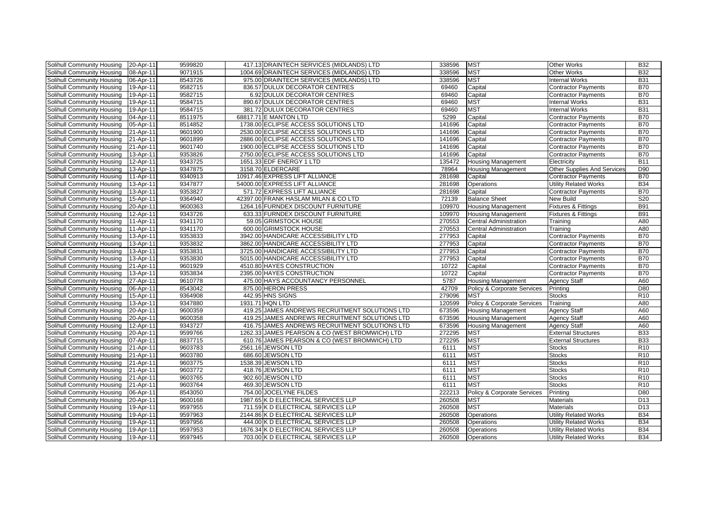| Solihull Community Housing | 20-Apr-11 | 9599820 | 417.13 DRAINTECH SERVICES (MIDLANDS) LTD       | 338596 | <b>MST</b>                    | <b>Other Works</b>           | <b>B32</b>      |
|----------------------------|-----------|---------|------------------------------------------------|--------|-------------------------------|------------------------------|-----------------|
| Solihull Community Housing | 08-Apr-11 | 9071915 | 1004.69 DRAINTECH SERVICES (MIDLANDS) LTD      | 338596 | <b>MST</b>                    | Other Works                  | <b>B32</b>      |
| Solihull Community Housing | 06-Apr-11 | 8543726 | 975.00 DRAINTECH SERVICES (MIDLANDS) LTD       | 338596 | <b>MST</b>                    | <b>Internal Works</b>        | <b>B31</b>      |
| Solihull Community Housing | 19-Apr-11 | 9582715 | 836.57 DULUX DECORATOR CENTRES                 | 69460  | Capital                       | <b>Contractor Payments</b>   | <b>B70</b>      |
| Solihull Community Housing | 19-Apr-11 | 9582715 | 6.92 DULUX DECORATOR CENTRES                   | 69460  | Capital                       | <b>Contractor Payments</b>   | <b>B70</b>      |
| Solihull Community Housing | 19-Apr-11 | 9584715 | 890.67 DULUX DECORATOR CENTRES                 | 69460  | <b>MST</b>                    | Internal Works               | <b>B31</b>      |
| Solihull Community Housing | 19-Apr-11 | 9584715 | 381.72 DULUX DECORATOR CENTRES                 | 69460  | <b>MST</b>                    | <b>Internal Works</b>        | <b>B31</b>      |
| Solihull Community Housing | 04-Apr-11 | 8511975 | 68817.71 E MANTON LTD                          | 5299   | Capital                       | <b>Contractor Payments</b>   | <b>B70</b>      |
| Solihull Community Housing | 05-Apr-11 | 8514852 | 1738.00 ECLIPSE ACCESS SOLUTIONS LTD           | 141696 | Capital                       | <b>Contractor Payments</b>   | <b>B70</b>      |
| Solihull Community Housing | 21-Apr-11 | 9601900 | 2530.00 ECLIPSE ACCESS SOLUTIONS LTD           | 141696 | Capital                       | <b>Contractor Payments</b>   | <b>B70</b>      |
| Solihull Community Housing | 21-Apr-11 | 9601899 | 2886.00 ECLIPSE ACCESS SOLUTIONS LTD           | 141696 | Capital                       | <b>Contractor Payments</b>   | <b>B70</b>      |
| Solihull Community Housing | 21-Apr-11 | 9601740 | 1900.00 ECLIPSE ACCESS SOLUTIONS LTD           | 141696 | Capital                       | <b>Contractor Payments</b>   | <b>B70</b>      |
| Solihull Community Housing | 13-Apr-11 | 9353826 | 2750.00 ECLIPSE ACCESS SOLUTIONS LTD           | 141696 | Capital                       | <b>Contractor Payments</b>   | <b>B70</b>      |
| Solihull Community Housing | 12-Apr-11 | 9343725 | 1651.33 EDF ENERGY 1 LTD                       | 135472 | <b>Housing Management</b>     | Electricity                  | <b>B11</b>      |
| Solihull Community Housing | 13-Apr-11 | 9347875 | 3158.70 ELDERCARE                              | 78964  | <b>Housing Management</b>     | Other Supplies And Services  | D90             |
| Solihull Community Housing | 11-Apr-11 | 9340913 | 10917.46 EXPRESS LIFT ALLIANCE                 | 281698 | Capital                       | <b>Contractor Payments</b>   | <b>B70</b>      |
| Solihull Community Housing | 13-Apr-11 | 9347877 | 54000.00 EXPRESS LIFT ALLIANCE                 | 281698 | Operations                    | <b>Utility Related Works</b> | <b>B34</b>      |
| Solihull Community Housing | 13-Apr-11 | 9353827 | 571.72 EXPRESS LIFT ALLIANCE                   | 281698 | Capital                       | <b>Contractor Payments</b>   | <b>B70</b>      |
| Solihull Community Housing | 15-Apr-11 | 9364940 | 42397.00 FRANK HASLAM MILAN & CO LTD           | 72139  | <b>Balance Sheet</b>          | New Build                    | S20             |
| Solihull Community Housing | 20-Apr-11 | 9600363 | 1264.16 FURNDEX DISCOUNT FURNITURE             | 109970 | <b>Housing Management</b>     | Fixtures & Fittings          | <b>B91</b>      |
| Solihull Community Housing | 12-Apr-11 | 9343726 | 633.33 FURNDEX DISCOUNT FURNITURE              | 109970 | <b>Housing Management</b>     | Fixtures & Fittings          | <b>B91</b>      |
| Solihull Community Housing | 11-Apr-11 | 9341170 | 59.05 GRIMSTOCK HOUSE                          | 270553 | <b>Central Administration</b> | Training                     | A80             |
| Solihull Community Housing | 11-Apr-11 | 9341170 | 600.00 GRIMSTOCK HOUSE                         | 270553 | <b>Central Administration</b> | Training                     | A80             |
| Solihull Community Housing | 13-Apr-11 | 9353833 | 3942.00 HANDICARE ACCESSIBILITY LTD            | 277953 | Capital                       | <b>Contractor Payments</b>   | <b>B70</b>      |
| Solihull Community Housing | 13-Apr-11 | 9353832 | 3862.00 HANDICARE ACCESSIBILITY LTD            | 277953 | Capital                       | <b>Contractor Payments</b>   | <b>B70</b>      |
| Solihull Community Housing | 13-Apr-11 | 9353831 | 3725.00 HANDICARE ACCESSIBILITY LTD            | 277953 | Capital                       | <b>Contractor Payments</b>   | <b>B70</b>      |
| Solihull Community Housing | 13-Apr-11 | 9353830 | 5015.00 HANDICARE ACCESSIBILITY LTD            | 277953 | Capital                       | <b>Contractor Payments</b>   | <b>B70</b>      |
| Solihull Community Housing | 21-Apr-11 | 9601929 | 4510.80 HAYES CONSTRUCTION                     | 10722  | Capital                       | <b>Contractor Payments</b>   | <b>B70</b>      |
| Solihull Community Housing | 13-Apr-11 | 9353834 | 2395.00 HAYES CONSTRUCTION                     | 10722  | Capital                       | <b>Contractor Payments</b>   | <b>B70</b>      |
| Solihull Community Housing | 27-Apr-11 | 9610778 | 475.00 HAYS ACCOUNTANCY PERSONNEL              | 5787   | <b>Housing Management</b>     | <b>Agency Staff</b>          | A60             |
| Solihull Community Housing | 06-Apr-11 | 8543042 | 875.00 HERON PRESS                             | 42709  | Policy & Corporate Services   | Printing                     | D80             |
| Solihull Community Housing | 15-Apr-11 | 9364908 | 442.95 HNS SIGNS                               | 279096 | <b>MST</b>                    | <b>Stocks</b>                | R10             |
| Solihull Community Housing | 13-Apr-11 | 9347880 | 1931.71 HQN LTD                                | 120599 | Policy & Corporate Services   | Training                     | A80             |
| Solihull Community Housing | 20-Apr-11 | 9600359 | 419.25 JAMES ANDREWS RECRUITMENT SOLUTIONS LTD | 673596 | <b>Housing Management</b>     | Agency Staff                 | A60             |
| Solihull Community Housing | 20-Apr-11 | 9600358 | 419.25 JAMES ANDREWS RECRUITMENT SOLUTIONS LTD | 673596 | <b>Housing Management</b>     | <b>Agency Staff</b>          | A60             |
| Solihull Community Housing | 12-Apr-11 | 9343727 | 416.75 JAMES ANDREWS RECRUITMENT SOLUTIONS LTD | 673596 | <b>Housing Management</b>     | <b>Agency Staff</b>          | A60             |
| Solihull Community Housing | 20-Apr-11 | 9599766 | 1262.33 JAMES PEARSON & CO (WEST BROMWICH) LTD | 272295 | <b>MST</b>                    | <b>External Structures</b>   | <b>B33</b>      |
| Solihull Community Housing | 07-Apr-11 | 8837715 | 610.76 JAMES PEARSON & CO (WEST BROMWICH) LTD  | 272295 | <b>MST</b>                    | <b>External Structures</b>   | <b>B33</b>      |
| Solihull Community Housing | 21-Apr-11 | 9603783 | 2561.16 JEWSON LTD                             | 6111   | <b>MST</b>                    | <b>Stocks</b>                | R <sub>10</sub> |
| Solihull Community Housing | 21-Apr-11 | 9603780 | 686.60 JEWSON LTD                              | 6111   | <b>MST</b>                    | <b>Stocks</b>                | R <sub>10</sub> |
| Solihull Community Housing | 21-Apr-11 | 9603775 | 1538.39 JEWSON LTD                             | 6111   | <b>MST</b>                    | <b>Stocks</b>                | R <sub>10</sub> |
| Solihull Community Housing | 21-Apr-11 | 9603772 | 418.76 JEWSON LTD                              | 6111   | <b>MST</b>                    | <b>Stocks</b>                | R <sub>10</sub> |
| Solihull Community Housing | 21-Apr-11 | 9603765 | 902.60 JEWSON LTD                              | 6111   | <b>MST</b>                    | <b>Stocks</b>                | R <sub>10</sub> |
| Solihull Community Housing | 21-Apr-11 | 9603764 | 469.30 JEWSON LTD                              | 6111   | <b>MST</b>                    | <b>Stocks</b>                | R <sub>10</sub> |
| Solihull Community Housing | 06-Apr-11 | 8543050 | 754.00 JOCELYNE FILDES                         | 222213 | Policy & Corporate Services   | Printing                     | D80             |
| Solihull Community Housing | 20-Apr-11 | 9600168 | 1987.65 K D ELECTRICAL SERVICES LLP            | 260508 | <b>MST</b>                    | <b>Materials</b>             | D <sub>13</sub> |
| Solihull Community Housing | 19-Apr-11 | 9597955 | 711.59 K D ELECTRICAL SERVICES LLP             | 260508 | <b>MST</b>                    | <b>Materials</b>             | D <sub>13</sub> |
| Solihull Community Housing | 19-Apr-11 | 9597963 | 2144.86 K D ELECTRICAL SERVICES LLP            | 260508 | Operations                    | <b>Utility Related Works</b> | <b>B34</b>      |
| Solihull Community Housing | 19-Apr-11 | 9597956 | 444.00 K D ELECTRICAL SERVICES LLP             | 260508 | Operations                    | <b>Utility Related Works</b> | <b>B34</b>      |
| Solihull Community Housing | 19-Apr-11 | 9597953 | 1676.34 K D ELECTRICAL SERVICES LLP            | 260508 | Operations                    | <b>Utility Related Works</b> | <b>B34</b>      |
| Solihull Community Housing | 19-Apr-11 | 9597945 | 703.00 K D ELECTRICAL SERVICES LLP             | 260508 | Operations                    | <b>Utility Related Works</b> | <b>B34</b>      |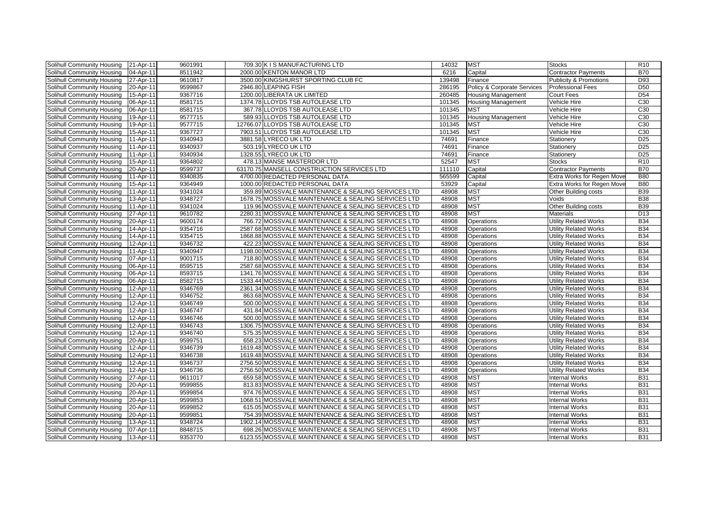| Solihull Community Housing        | 21-Apr-11 | 9601991 | 709.30 K I S MANUFACTURING LTD                      | 14032  | <b>MST</b>                  | <b>Stocks</b>                     | R <sub>10</sub> |
|-----------------------------------|-----------|---------|-----------------------------------------------------|--------|-----------------------------|-----------------------------------|-----------------|
| Solihull Community Housing        | 04-Apr-11 | 8511942 | 2000.00 KENTON MANOR LTD                            | 6216   | Capital                     | <b>Contractor Payments</b>        | <b>B70</b>      |
| Solihull Community Housing        | 27-Apr-11 | 9610817 | 3500.00 KINGSHURST SPORTING CLUB FC                 | 139498 | Finance                     | <b>Publicity &amp; Promotions</b> | D93             |
| Solihull Community Housing        | 20-Apr-11 | 9599867 | 2946.80 LEAPING FISH                                | 286195 | Policy & Corporate Services | <b>Professional Fees</b>          | <b>D50</b>      |
| Solihull Community Housing        | 15-Apr-11 | 9367716 | 1200.00 LIBERATA UK LIMITED                         | 260485 | <b>Housing Management</b>   | Court Fees                        | D <sub>54</sub> |
| Solihull Community Housing        | 06-Apr-11 | 8581715 | 1374.78 LLOYDS TSB AUTOLEASE LTD                    | 101345 | <b>Housing Management</b>   | Vehicle Hire                      | C30             |
| Solihull Community Housing        | 06-Apr-11 | 8581715 | 367.78 LLOYDS TSB AUTOLEASE LTD                     | 101345 | <b>MST</b>                  | Vehicle Hire                      | C30             |
| Solihull Community Housing        | 19-Apr-11 | 9577715 | 589.93 LLOYDS TSB AUTOLEASE LTD                     | 101345 | <b>Housing Management</b>   | Vehicle Hire                      | C30             |
| Solihull Community Housing        | 19-Apr-11 | 9577715 | 12766.07 LLOYDS TSB AUTOLEASE LTD                   | 101345 | <b>MST</b>                  | Vehicle Hire                      | C30             |
| Solihull Community Housing        | 15-Apr-11 | 9367727 | 7903.51 LLOYDS TSB AUTOLEASE LTD                    | 101345 | <b>MST</b>                  | Vehicle Hire                      | C30             |
| Solihull Community Housing        | 11-Apr-11 | 9340943 | 3881.58 LYRECO UK LTD                               | 74691  | Finance                     | Stationery                        | D <sub>25</sub> |
| Solihull Community Housing        | 11-Apr-11 | 9340937 | 503.19 LYRECO UK LTD                                | 74691  | Finance                     | Stationery                        | D <sub>25</sub> |
| Solihull Community Housing        | 11-Apr-11 | 9340934 | 1328.55 LYRECO UK LTD                               | 74691  | Finance                     | Stationery                        | D <sub>25</sub> |
| <b>Solihull Community Housing</b> | 15-Apr-11 | 9364802 | 478.13 MANSE MASTERDOR LTD                          | 52547  | <b>MST</b>                  | <b>Stocks</b>                     | R <sub>10</sub> |
| Solihull Community Housing        | 20-Apr-11 | 9599737 | 63170.75 MANSELL CONSTRUCTION SERVICES LTD          | 111110 | Capital                     | <b>Contractor Payments</b>        | <b>B70</b>      |
| Solihull Community Housing        | 11-Apr-11 | 9340835 | 4700.00 REDACTED PERSONAL DATA                      | 565599 | Capital                     | Extra Works for Regen Move        | <b>B80</b>      |
| Solihull Community Housing        | 15-Apr-11 | 9364949 | 1000.00 REDACTED PERSONAL DATA                      | 53929  | Capital                     | Extra Works for Regen Move        | <b>B80</b>      |
| Solihull Community Housing        | 11-Apr-11 | 9341024 | 359.89 MOSSVALE MAINTENANCE & SEALING SERVICES LTD  | 48908  | <b>MST</b>                  | Other Building costs              | <b>B39</b>      |
| Solihull Community Housing        | 13-Apr-11 | 9348727 | 1678.75 MOSSVALE MAINTENANCE & SEALING SERVICES LTD | 48908  | <b>MST</b>                  | Voids                             | <b>B38</b>      |
| Solihull Community Housing        | 11-Apr-11 | 9341024 | 119.96 MOSSVALE MAINTENANCE & SEALING SERVICES LTD  | 48908  | <b>MST</b>                  | Other Building costs              | <b>B39</b>      |
| Solihull Community Housing        | 27-Apr-11 | 9610782 | 2280.31 MOSSVALE MAINTENANCE & SEALING SERVICES LTD | 48908  | <b>MST</b>                  | <b>Materials</b>                  | D <sub>13</sub> |
| Solihull Community Housing        | 20-Apr-11 | 9600174 | 766.72 MOSSVALE MAINTENANCE & SEALING SERVICES LTD  | 48908  | <b>Operations</b>           | <b>Utility Related Works</b>      | <b>B34</b>      |
| Solihull Community Housing        | 14-Apr-11 | 9354716 | 2587.68 MOSSVALE MAINTENANCE & SEALING SERVICES LTD | 48908  | Operations                  | <b>Utility Related Works</b>      | <b>B34</b>      |
| Solihull Community Housing        | 14-Apr-11 | 9354715 | 1868.88 MOSSVALE MAINTENANCE & SEALING SERVICES LTD | 48908  | Operations                  | <b>Utility Related Works</b>      | <b>B34</b>      |
| Solihull Community Housing        | 12-Apr-11 | 9346732 | 422.23 MOSSVALE MAINTENANCE & SEALING SERVICES LTD  | 48908  | Operations                  | <b>Utility Related Works</b>      | <b>B34</b>      |
| Solihull Community Housing        | 11-Apr-11 | 9340947 | 1198.00 MOSSVALE MAINTENANCE & SEALING SERVICES LTD | 48908  | <b>Operations</b>           | <b>Utility Related Works</b>      | <b>B34</b>      |
| Solihull Community Housing        | 07-Apr-11 | 9001715 | 718.80 MOSSVALE MAINTENANCE & SEALING SERVICES LTD  | 48908  | Operations                  | <b>Utility Related Works</b>      | <b>B34</b>      |
| Solihull Community Housing        | 06-Apr-11 | 8595715 | 2587.68 MOSSVALE MAINTENANCE & SEALING SERVICES LTD | 48908  | Operations                  | <b>Utility Related Works</b>      | <b>B34</b>      |
| Solihull Community Housing        | 06-Apr-11 | 8593715 | 1341.76 MOSSVALE MAINTENANCE & SEALING SERVICES LTD | 48908  | Operations                  | <b>Utility Related Works</b>      | <b>B34</b>      |
| Solihull Community Housing        | 06-Apr-11 | 8582715 | 1533.44 MOSSVALE MAINTENANCE & SEALING SERVICES LTD | 48908  | Operations                  | <b>Utility Related Works</b>      | <b>B34</b>      |
| Solihull Community Housing        | 12-Apr-11 | 9346769 | 2361.34 MOSSVALE MAINTENANCE & SEALING SERVICES LTD | 48908  | Operations                  | <b>Utility Related Works</b>      | <b>B34</b>      |
| Solihull Community Housing        | 12-Apr-11 | 9346752 | 863.68 MOSSVALE MAINTENANCE & SEALING SERVICES LTD  | 48908  | <b>Operations</b>           | <b>Utility Related Works</b>      | <b>B34</b>      |
| Solihull Community Housing        | 12-Apr-11 | 9346749 | 500.00 MOSSVALE MAINTENANCE & SEALING SERVICES LTD  | 48908  | <b>Operations</b>           | <b>Utility Related Works</b>      | <b>B34</b>      |
| Solihull Community Housing        | 12-Apr-11 | 9346747 | 431.84 MOSSVALE MAINTENANCE & SEALING SERVICES LTD  | 48908  | Operations                  | <b>Utility Related Works</b>      | <b>B34</b>      |
| Solihull Community Housing        | 12-Apr-11 | 9346746 | 500.00 MOSSVALE MAINTENANCE & SEALING SERVICES LTD  | 48908  | Operations                  | <b>Utility Related Works</b>      | <b>B34</b>      |
| Solihull Community Housing        | 12-Apr-11 | 9346743 | 1306.75 MOSSVALE MAINTENANCE & SEALING SERVICES LTD | 48908  | Operations                  | <b>Utility Related Works</b>      | <b>B34</b>      |
| Solihull Community Housing        | 12-Apr-11 | 9346740 | 575.35 MOSSVALE MAINTENANCE & SEALING SERVICES LTD  | 48908  | Operations                  | <b>Utility Related Works</b>      | <b>B34</b>      |
| Solihull Community Housing        | 20-Apr-11 | 9599751 | 658.23 MOSSVALE MAINTENANCE & SEALING SERVICES LTD  | 48908  | Operations                  | <b>Utility Related Works</b>      | <b>B34</b>      |
| Solihull Community Housing        | 12-Apr-11 | 9346739 | 1619.48 MOSSVALE MAINTENANCE & SEALING SERVICES LTD | 48908  | Operations                  | <b>Utility Related Works</b>      | <b>B34</b>      |
| Solihull Community Housing        | 12-Apr-11 | 9346738 | 1619.48 MOSSVALE MAINTENANCE & SEALING SERVICES LTD | 48908  | Operations                  | <b>Utility Related Works</b>      | <b>B34</b>      |
| Solihull Community Housing        | 12-Apr-11 | 9346737 | 2756.50 MOSSVALE MAINTENANCE & SEALING SERVICES LTD | 48908  | <b>Operations</b>           | <b>Utility Related Works</b>      | <b>B34</b>      |
| Solihull Community Housing        | 12-Apr-11 | 9346736 | 2756.50 MOSSVALE MAINTENANCE & SEALING SERVICES LTD | 48908  | Operations                  | <b>Utility Related Works</b>      | <b>B34</b>      |
| Solihull Community Housing        | 27-Apr-11 | 9611017 | 659.58 MOSSVALE MAINTENANCE & SEALING SERVICES LTD  | 48908  | <b>MST</b>                  | <b>Internal Works</b>             | <b>B31</b>      |
| Solihull Community Housing        | 20-Apr-11 | 9599855 | 813.83 MOSSVALE MAINTENANCE & SEALING SERVICES LTD  | 48908  | <b>MST</b>                  | <b>Internal Works</b>             | <b>B31</b>      |
| Solihull Community Housing        | 20-Apr-11 | 9599854 | 974.76 MOSSVALE MAINTENANCE & SEALING SERVICES LTD  | 48908  | <b>MST</b>                  | <b>Internal Works</b>             | <b>B31</b>      |
| Solihull Community Housing        | 20-Apr-11 | 9599853 | 1068.51 MOSSVALE MAINTENANCE & SEALING SERVICES LTD | 48908  | <b>MST</b>                  | <b>Internal Works</b>             | <b>B31</b>      |
| Solihull Community Housing        | 20-Apr-11 | 9599852 | 615.05 MOSSVALE MAINTENANCE & SEALING SERVICES LTD  | 48908  | <b>MST</b>                  | <b>Internal Works</b>             | <b>B31</b>      |
| Solihull Community Housing        | 20-Apr-11 | 9599851 | 754.39 MOSSVALE MAINTENANCE & SEALING SERVICES LTD  | 48908  | <b>MST</b>                  | <b>Internal Works</b>             | <b>B31</b>      |
| Solihull Community Housing        | 13-Apr-11 | 9348724 | 1902.14 MOSSVALE MAINTENANCE & SEALING SERVICES LTD | 48908  | <b>MST</b>                  | <b>Internal Works</b>             | <b>B31</b>      |
| Solihull Community Housing        | 07-Apr-11 | 8848715 | 698.26 MOSSVALE MAINTENANCE & SEALING SERVICES LTD  | 48908  | <b>MST</b>                  | <b>Internal Works</b>             | <b>B31</b>      |
| <b>Solihull Community Housing</b> | 13-Apr-11 | 9353770 | 6123.55 MOSSVALE MAINTENANCE & SEALING SERVICES LTD | 48908  | <b>MST</b>                  | <b>Internal Works</b>             | <b>B31</b>      |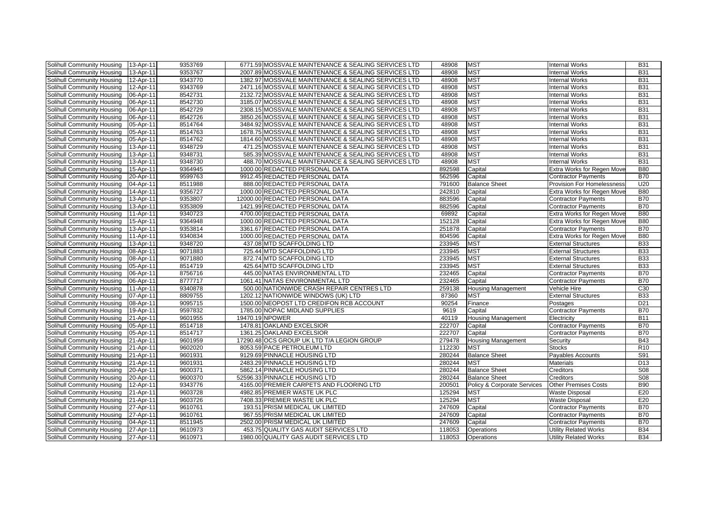| Solihull Community Housing | 13-Apr-11 | 9353769 | 6771.59 MOSSVALE MAINTENANCE & SEALING SERVICES LTD | 48908  | <b>MST</b>                  | <b>Internal Works</b>             | <b>B31</b>      |
|----------------------------|-----------|---------|-----------------------------------------------------|--------|-----------------------------|-----------------------------------|-----------------|
| Solihull Community Housing | 13-Apr-11 | 9353767 | 2007.89 MOSSVALE MAINTENANCE & SEALING SERVICES LTD | 48908  | <b>MST</b>                  | <b>Internal Works</b>             | <b>B31</b>      |
| Solihull Community Housing | 12-Apr-11 | 9343770 | 1382.97 MOSSVALE MAINTENANCE & SEALING SERVICES LTD | 48908  | <b>MST</b>                  | <b>Internal Works</b>             | <b>B31</b>      |
| Solihull Community Housing | 12-Apr-11 | 9343769 | 2471.16 MOSSVALE MAINTENANCE & SEALING SERVICES LTD | 48908  | <b>MST</b>                  | <b>Internal Works</b>             | <b>B31</b>      |
| Solihull Community Housing | 06-Apr-11 | 8542731 | 2132.72 MOSSVALE MAINTENANCE & SEALING SERVICES LTD | 48908  | <b>MST</b>                  | <b>Internal Works</b>             | <b>B31</b>      |
| Solihull Community Housing | 06-Apr-11 | 8542730 | 3185.07 MOSSVALE MAINTENANCE & SEALING SERVICES LTD | 48908  | <b>MST</b>                  | <b>Internal Works</b>             | <b>B31</b>      |
| Solihull Community Housing | 06-Apr-11 | 8542729 | 2308.15 MOSSVALE MAINTENANCE & SEALING SERVICES LTD | 48908  | <b>MST</b>                  | <b>Internal Works</b>             | <b>B31</b>      |
| Solihull Community Housing | 06-Apr-11 | 8542726 | 3850.26 MOSSVALE MAINTENANCE & SEALING SERVICES LTD | 48908  | <b>MST</b>                  | <b>Internal Works</b>             | <b>B31</b>      |
| Solihull Community Housing | 05-Apr-11 | 8514764 | 3484.92 MOSSVALE MAINTENANCE & SEALING SERVICES LTD | 48908  | <b>MST</b>                  | <b>Internal Works</b>             | <b>B31</b>      |
| Solihull Community Housing | 05-Apr-11 | 8514763 | 1678.75 MOSSVALE MAINTENANCE & SEALING SERVICES LTD | 48908  | <b>MST</b>                  | <b>Internal Works</b>             | <b>B31</b>      |
| Solihull Community Housing | 05-Apr-11 | 8514762 | 1814.60 MOSSVALE MAINTENANCE & SEALING SERVICES LTD | 48908  | <b>MST</b>                  | <b>Internal Works</b>             | <b>B31</b>      |
| Solihull Community Housing | 13-Apr-11 | 9348729 | 471.25 MOSSVALE MAINTENANCE & SEALING SERVICES LTD  | 48908  | <b>MST</b>                  | <b>Internal Works</b>             | <b>B31</b>      |
| Solihull Community Housing | 13-Apr-11 | 9348731 | 585.39 MOSSVALE MAINTENANCE & SEALING SERVICES LTD  | 48908  | <b>MST</b>                  | <b>Internal Works</b>             | <b>B31</b>      |
| Solihull Community Housing | 13-Apr-11 | 9348730 | 488.70 MOSSVALE MAINTENANCE & SEALING SERVICES LTD  | 48908  | <b>MST</b>                  | <b>Internal Works</b>             | <b>B31</b>      |
| Solihull Community Housing | 15-Apr-11 | 9364945 | 1000.00 REDACTED PERSONAL DATA                      | 892598 | Capital                     | Extra Works for Regen Move        | <b>B80</b>      |
| Solihull Community Housing | 20-Apr-11 | 9599763 | 9912.45 REDACTED PERSONAL DATA                      | 562596 | Capital                     | <b>Contractor Payments</b>        | <b>B70</b>      |
| Solihull Community Housing | 04-Apr-11 | 8511988 | 888.00 REDACTED PERSONAL DATA                       | 791600 | <b>Balance Sheet</b>        | <b>Provision For Homelessness</b> | U20             |
| Solihull Community Housing | 14-Apr-11 | 9356727 | 1000.00 REDACTED PERSONAL DATA                      | 242810 | Capital                     | Extra Works for Regen Move        | <b>B80</b>      |
| Solihull Community Housing | 13-Apr-11 | 9353807 | 12000.00 REDACTED PERSONAL DATA                     | 883596 | Capital                     | <b>Contractor Payments</b>        | <b>B70</b>      |
| Solihull Community Housing | 13-Apr-11 | 9353809 | 1421.99 REDACTED PERSONAL DATA                      | 882596 | Capital                     | <b>Contractor Payments</b>        | <b>B70</b>      |
| Solihull Community Housing | 11-Apr-11 | 9340723 | 4700.00 REDACTED PERSONAL DATA                      | 69892  | Capital                     | Extra Works for Regen Move        | <b>B80</b>      |
| Solihull Community Housing | 15-Apr-11 | 9364948 | 1000.00 REDACTED PERSONAL DATA                      | 152128 | Capital                     | Extra Works for Regen Move        | <b>B80</b>      |
| Solihull Community Housing | 13-Apr-11 | 9353814 | 3361.67 REDACTED PERSONAL DATA                      | 251878 | Capital                     | <b>Contractor Payments</b>        | <b>B70</b>      |
| Solihull Community Housing | 11-Apr-11 | 9340834 | 1000.00 REDACTED PERSONAL DATA                      | 804596 | Capital                     | Extra Works for Regen Move        | <b>B80</b>      |
| Solihull Community Housing | 13-Apr-11 | 9348720 | 437.08 MTD SCAFFOLDING LTD                          | 233945 | <b>MST</b>                  | <b>External Structures</b>        | <b>B33</b>      |
| Solihull Community Housing | 08-Apr-11 | 9071883 | 725.44 MTD SCAFFOLDING LTD                          | 233945 | <b>MST</b>                  | <b>External Structures</b>        | <b>B33</b>      |
| Solihull Community Housing | 08-Apr-11 | 9071880 | 872.74 MTD SCAFFOLDING LTD                          | 233945 | <b>MST</b>                  | <b>External Structures</b>        | <b>B33</b>      |
| Solihull Community Housing | 05-Apr-11 | 8514719 | 425.64 MTD SCAFFOLDING LTD                          | 233945 | <b>MST</b>                  | <b>External Structures</b>        | <b>B33</b>      |
| Solihull Community Housing | 06-Apr-11 | 8756716 | 445.00 NATAS ENVIRONMENTAL LTD                      | 232465 | Capital                     | <b>Contractor Payments</b>        | <b>B70</b>      |
| Solihull Community Housing | 06-Apr-11 | 8777717 | 1061.41 NATAS ENVIRONMENTAL LTD                     | 232465 | Capital                     | <b>Contractor Payments</b>        | <b>B70</b>      |
| Solihull Community Housing | 11-Apr-11 | 9340878 | 500.00 NATIONWIDE CRASH REPAIR CENTRES LTD          | 259138 | <b>Housing Management</b>   | Vehicle Hire                      | C30             |
| Solihull Community Housing | 07-Apr-11 | 8809755 | 1202.12 NATIONWIDE WINDOWS (UK) LTD                 | 87360  | <b>MST</b>                  | <b>External Structures</b>        | <b>B33</b>      |
| Solihull Community Housing | 08-Apr-11 | 9095715 | 1500.00 NEOPOST LTD CREDIFON RCB ACCOUNT            | 90254  | Finance                     | Postages                          | D <sub>21</sub> |
| Solihull Community Housing | 19-Apr-11 | 9597832 | 1785.00 NOPAC MIDLAND SUPPLIES                      | 9619   | Capital                     | <b>Contractor Payments</b>        | <b>B70</b>      |
| Solihull Community Housing | 21-Apr-11 | 9601955 | 19470.19 NPOWER                                     | 40119  | <b>Housing Management</b>   | Electricity                       | <b>B11</b>      |
| Solihull Community Housing | 05-Apr-11 | 8514718 | 1478.81 OAKLAND EXCELSIOR                           | 222707 | Capital                     | <b>Contractor Payments</b>        | <b>B70</b>      |
| Solihull Community Housing | 05-Apr-11 | 8514717 | 1361.25 OAKLAND EXCELSIOR                           | 222707 | Capital                     | <b>Contractor Payments</b>        | <b>B70</b>      |
| Solihull Community Housing | 21-Apr-11 | 9601959 | 17290.48 OCS GROUP UK LTD T/A LEGION GROUP          | 279478 | <b>Housing Management</b>   | Security                          | <b>B43</b>      |
| Solihull Community Housing | 21-Apr-11 | 9602020 | 8053.59 PACE PETROLEUM LTD                          | 112230 | <b>MST</b>                  | <b>Stocks</b>                     | R10             |
| Solihull Community Housing | 21-Apr-11 | 9601931 | 9129.69 PINNACLE HOUSING LTD                        | 280244 | <b>Balance Sheet</b>        | Payables Accounts                 | S91             |
| Solihull Community Housing | 21-Apr-11 | 9601931 | 2483.29 PINNACLE HOUSING LTD                        | 280244 | <b>MST</b>                  | <b>Materials</b>                  | D <sub>13</sub> |
| Solihull Community Housing | 20-Apr-11 | 9600371 | 5862.14 PINNACLE HOUSING LTD                        | 280244 | <b>Balance Sheet</b>        | Creditors                         | <b>S08</b>      |
| Solihull Community Housing | 20-Apr-11 | 9600370 | 52596.33 PINNACLE HOUSING LTD                       | 280244 | <b>Balance Sheet</b>        | Creditors                         | S <sub>08</sub> |
| Solihull Community Housing | 12-Apr-11 | 9343776 | 4165.00 PREMIER CARPETS AND FLOORING LTD            | 200501 | Policy & Corporate Services | <b>Other Premises Costs</b>       | <b>B90</b>      |
| Solihull Community Housing | 21-Apr-11 | 9603728 | 4982.85 PREMIER WASTE UK PLC                        | 125294 | <b>MST</b>                  | <b>Waste Disposal</b>             | E20             |
| Solihull Community Housing | 21-Apr-11 | 9603726 | 7408.33 PREMIER WASTE UK PLC                        | 125294 | <b>MST</b>                  | <b>Waste Disposal</b>             | E20             |
| Solihull Community Housing | 27-Apr-11 | 9610761 | 193.51 PRISM MEDICAL UK LIMITED                     | 247609 | Capital                     | <b>Contractor Payments</b>        | <b>B70</b>      |
| Solihull Community Housing | 27-Apr-11 | 9610761 | 967.55 PRISM MEDICAL UK LIMITED                     | 247609 | Capital                     | <b>Contractor Payments</b>        | <b>B70</b>      |
| Solihull Community Housing | 04-Apr-11 | 8511945 | 2502.00 PRISM MEDICAL UK LIMITED                    | 247609 | Capital                     | <b>Contractor Payments</b>        | <b>B70</b>      |
| Solihull Community Housing | 27-Apr-11 | 9610973 | 453.75 QUALITY GAS AUDIT SERVICES LTD               | 118053 | Operations                  | <b>Utility Related Works</b>      | <b>B34</b>      |
| Solihull Community Housing | 27-Apr-11 | 9610971 | 1980.00 QUALITY GAS AUDIT SERVICES LTD              | 118053 | Operations                  | <b>Utility Related Works</b>      | <b>B34</b>      |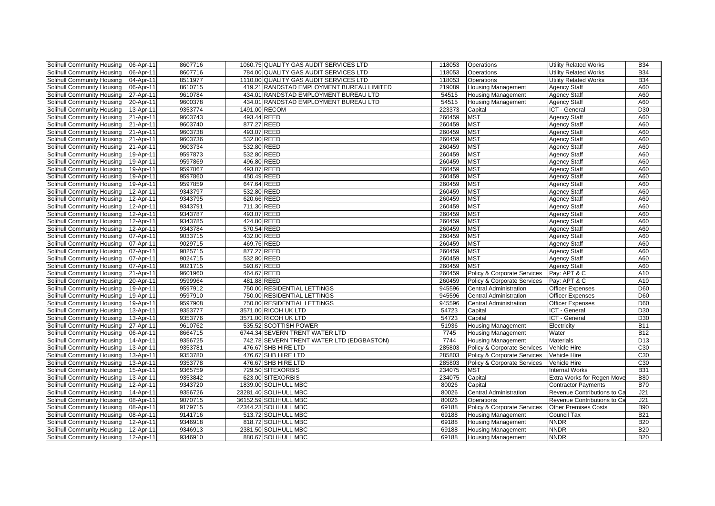| Solihull Community Housing | 06-Apr-11 | 8607716 |             | 1060.75 QUALITY GAS AUDIT SERVICES LTD    | 118053 | Operations                    | <b>Utility Related Works</b> | <b>B34</b>      |
|----------------------------|-----------|---------|-------------|-------------------------------------------|--------|-------------------------------|------------------------------|-----------------|
| Solihull Community Housing | 06-Apr-11 | 8607716 |             | 784.00 QUALITY GAS AUDIT SERVICES LTD     | 118053 | Operations                    | <b>Utility Related Works</b> | <b>B34</b>      |
| Solihull Community Housing | 04-Apr-11 | 8511977 |             | 1110.00 QUALITY GAS AUDIT SERVICES LTD    | 118053 | Operations                    | <b>Utility Related Works</b> | <b>B34</b>      |
| Solihull Community Housing | 06-Apr-11 | 8610715 |             | 419.21 RANDSTAD EMPLOYMENT BUREAU LIMITED | 219089 | <b>Housing Management</b>     | <b>Agency Staff</b>          | A60             |
| Solihull Community Housing | 27-Apr-11 | 9610784 |             | 434.01 RANDSTAD EMPLOYMENT BUREAU LTD     | 54515  | <b>Housing Management</b>     | <b>Agency Staff</b>          | A60             |
| Solihull Community Housing | 20-Apr-11 | 9600378 |             | 434.01 RANDSTAD EMPLOYMENT BUREAU LTD     | 54515  | <b>Housing Management</b>     | Agency Staff                 | A60             |
| Solihull Community Housing | 13-Apr-11 | 9353774 |             | 1491.00 RECOM                             | 223373 | Capital                       | ICT - General                | D <sub>30</sub> |
| Solihull Community Housing | 21-Apr-11 | 9603743 | 493.44 REED |                                           | 260459 | <b>MST</b>                    | Agency Staff                 | A60             |
| Solihull Community Housing | 21-Apr-11 | 9603740 | 877.27 REED |                                           | 260459 | <b>MST</b>                    | <b>Agency Staff</b>          | A60             |
| Solihull Community Housing | 21-Apr-11 | 9603738 | 493.07 REED |                                           | 260459 | <b>MST</b>                    | Agency Staff                 | A60             |
| Solihull Community Housing | 21-Apr-11 | 9603736 | 532.80 REED |                                           | 260459 | <b>MST</b>                    | Agency Staff                 | A60             |
| Solihull Community Housing | 21-Apr-11 | 9603734 | 532.80 REED |                                           | 260459 | <b>MST</b>                    | <b>Agency Staff</b>          | A60             |
| Solihull Community Housing | 19-Apr-11 | 9597873 | 532.80 REED |                                           | 260459 | <b>MST</b>                    | <b>Agency Staff</b>          | A60             |
| Solihull Community Housing | 19-Apr-11 | 9597869 | 496.80 REED |                                           | 260459 | <b>MST</b>                    | <b>Agency Staff</b>          | A60             |
| Solihull Community Housing | 19-Apr-11 | 9597867 | 493.07 REED |                                           | 260459 | <b>MST</b>                    | Agency Staff                 | A60             |
| Solihull Community Housing | 19-Apr-11 | 9597860 | 450.49 REED |                                           | 260459 | <b>MST</b>                    | Agency Staff                 | A60             |
| Solihull Community Housing | 19-Apr-11 | 9597859 | 647.64 REED |                                           | 260459 | <b>MST</b>                    | Agency Staff                 | A60             |
| Solihull Community Housing | 12-Apr-11 | 9343797 | 532.80 REED |                                           | 260459 | <b>MST</b>                    | Agency Staff                 | A60             |
| Solihull Community Housing | 12-Apr-11 | 9343795 | 620.66 REED |                                           | 260459 | <b>MST</b>                    | Agency Staff                 | A60             |
| Solihull Community Housing | 12-Apr-11 | 9343791 | 711.30 REED |                                           | 260459 | <b>MST</b>                    | Agency Staff                 | A60             |
| Solihull Community Housing | 12-Apr-11 | 9343787 | 493.07 REED |                                           | 260459 | <b>MST</b>                    | Agency Staff                 | A60             |
| Solihull Community Housing | 12-Apr-11 | 9343785 | 424.80 REED |                                           | 260459 | <b>MST</b>                    | Agency Staff                 | A60             |
| Solihull Community Housing | 12-Apr-11 | 9343784 | 570.54 REED |                                           | 260459 | <b>MST</b>                    | <b>Agency Staff</b>          | A60             |
| Solihull Community Housing | 07-Apr-11 | 9033715 | 432.00 REED |                                           | 260459 | <b>MST</b>                    | <b>Agency Staff</b>          | A60             |
| Solihull Community Housing | 07-Apr-11 | 9029715 | 469.76 REED |                                           | 260459 | <b>MST</b>                    | Agency Staff                 | A60             |
| Solihull Community Housing | 07-Apr-11 | 9025715 | 877.27 REED |                                           | 260459 | <b>MST</b>                    | <b>Agency Staff</b>          | A60             |
| Solihull Community Housing | 07-Apr-11 | 9024715 | 532.80 REED |                                           | 260459 | <b>MST</b>                    | <b>Agency Staff</b>          | A60             |
| Solihull Community Housing | 07-Apr-11 | 9021715 | 593.67 REED |                                           | 260459 | <b>MST</b>                    | <b>Agency Staff</b>          | A60             |
| Solihull Community Housing | 21-Apr-11 | 9601960 | 464.67 REED |                                           | 260459 | Policy & Corporate Services   | Pay: APT & C                 | A10             |
| Solihull Community Housing | 20-Apr-11 | 9599964 | 481.88 REED |                                           | 260459 | Policy & Corporate Services   | Pay: APT & C                 | A10             |
| Solihull Community Housing | 19-Apr-11 | 9597912 |             | 750.00 RESIDENTIAL LETTINGS               | 945596 | <b>Central Administration</b> | <b>Officer Expenses</b>      | D60             |
| Solihull Community Housing | 19-Apr-11 | 9597910 |             | 750.00 RESIDENTIAL LETTINGS               | 945596 | <b>Central Administration</b> | Officer Expenses             | D60             |
| Solihull Community Housing | 19-Apr-11 | 9597908 |             | 750.00 RESIDENTIAL LETTINGS               | 945596 | <b>Central Administration</b> | Officer Expenses             | D60             |
| Solihull Community Housing | 13-Apr-11 | 9353777 |             | 3571.00 RICOH UK LTD                      | 54723  | Capital                       | ICT - General                | D30             |
| Solihull Community Housing | 13-Apr-11 | 9353776 |             | 3571.00 RICOH UK LTD                      | 54723  | Capital                       | ICT - General                | D30             |
| Solihull Community Housing | 27-Apr-11 | 9610762 |             | 535.52 SCOTTISH POWER                     | 51936  | <b>Housing Management</b>     | Electricity                  | <b>B11</b>      |
| Solihull Community Housing | 06-Apr-11 | 8664715 |             | 6744.34 SEVERN TRENT WATER LTD            | 7745   | <b>Housing Management</b>     | Water                        | <b>B12</b>      |
| Solihull Community Housing | 14-Apr-11 | 9356725 |             | 742.78 SEVERN TRENT WATER LTD (EDGBASTON) | 7744   | <b>Housing Management</b>     | Materials                    | D13             |
| Solihull Community Housing | 13-Apr-11 | 9353781 |             | 476.67 SHB HIRE LTD                       | 285803 | Policy & Corporate Services   | Vehicle Hire                 | C30             |
| Solihull Community Housing | 13-Apr-11 | 9353780 |             | 476.67 SHB HIRE LTD                       | 285803 | Policy & Corporate Services   | Vehicle Hire                 | C30             |
| Solihull Community Housing | 13-Apr-11 | 9353778 |             | 476.67 SHB HIRE LTD                       | 285803 | Policy & Corporate Services   | Vehicle Hire                 | C30             |
| Solihull Community Housing | 15-Apr-11 | 9365759 |             | 729.50 SITEXORBIS                         | 234075 | <b>MST</b>                    | <b>Internal Works</b>        | <b>B31</b>      |
| Solihull Community Housing | 13-Apr-11 | 9353842 |             | 623.00 SITEXORBIS                         | 234075 | Capital                       | Extra Works for Regen Move   | <b>B80</b>      |
| Solihull Community Housing | 12-Apr-11 | 9343720 |             | 1839.00 SOLIHULL MBC                      | 80026  | Capital                       | <b>Contractor Payments</b>   | <b>B70</b>      |
| Solihull Community Housing | 14-Apr-11 | 9356726 |             | 23281.40 SOLIHULL MBC                     | 80026  | <b>Central Administration</b> | Revenue Contributions to Ca  | J21             |
| Solihull Community Housing | 08-Apr-11 | 9070715 |             | 36152.59 SOLIHULL MBC                     | 80026  | Operations                    | Revenue Contributions to Ca  | J21             |
| Solihull Community Housing | 08-Apr-11 | 9179715 |             | 42344.23 SOLIHULL MBC                     | 69188  | Policy & Corporate Services   | <b>Other Premises Costs</b>  | <b>B90</b>      |
| Solihull Community Housing | 08-Apr-11 | 9141716 |             | 513.72 SOLIHULL MBC                       | 69188  | <b>Housing Management</b>     | Council Tax                  | <b>B21</b>      |
| Solihull Community Housing | 12-Apr-11 | 9346918 |             | 818.72 SOLIHULL MBC                       | 69188  | <b>Housing Management</b>     | <b>NNDR</b>                  | <b>B20</b>      |
| Solihull Community Housing | 12-Apr-11 | 9346913 |             | 2381.50 SOLIHULL MBC                      | 69188  | <b>Housing Management</b>     | <b>NNDR</b>                  | <b>B20</b>      |
| Solihull Community Housing | 12-Apr-11 | 9346910 |             | 880.67 SOLIHULL MBC                       | 69188  | <b>Housing Management</b>     | <b>NNDR</b>                  | <b>B20</b>      |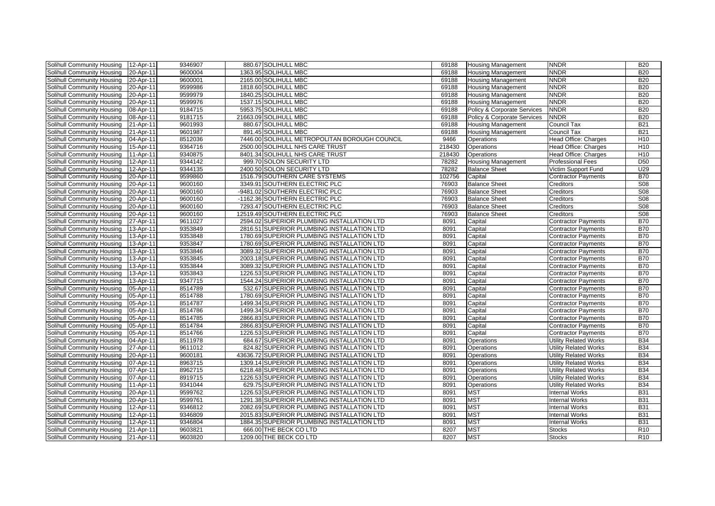| Solihull Community Housing | 12-Apr-11       | 9346907 | 880.67 SOLIHULL MBC                           | 69188  | <b>Housing Management</b>   | <b>NNDR</b>                  | <b>B20</b>      |
|----------------------------|-----------------|---------|-----------------------------------------------|--------|-----------------------------|------------------------------|-----------------|
| Solihull Community Housing | 20-Apr-11       | 9600004 | 1363.95 SOLIHULL MBC                          | 69188  | <b>Housing Management</b>   | <b>NNDR</b>                  | <b>B20</b>      |
| Solihull Community Housing | 20-Apr-11       | 9600001 | 2165.00 SOLIHULL MBC                          | 69188  | <b>Housing Management</b>   | <b>NNDR</b>                  | <b>B20</b>      |
| Solihull Community Housing | 20-Apr-11       | 9599986 | 1818.60 SOLIHULL MBC                          | 69188  | <b>Housing Management</b>   | <b>NNDR</b>                  | <b>B20</b>      |
| Solihull Community Housing | 20-Apr-11       | 9599979 | 1840.25 SOLIHULL MBC                          | 69188  | <b>Housing Management</b>   | <b>NNDR</b>                  | <b>B20</b>      |
| Solihull Community Housing | 20-Apr-11       | 9599976 | 1537.15 SOLIHULL MBC                          | 69188  | <b>Housing Management</b>   | <b>NNDR</b>                  | <b>B20</b>      |
| Solihull Community Housing | 08-Apr-11       | 9184715 | 5953.75 SOLIHULL MBC                          | 69188  | Policy & Corporate Services | <b>NNDR</b>                  | <b>B20</b>      |
| Solihull Community Housing | 08-Apr-11       | 9181715 | 21663.09 SOLIHULL MBC                         | 69188  | Policy & Corporate Services | <b>NNDR</b>                  | <b>B20</b>      |
| Solihull Community Housing | 21-Apr-11       | 9601993 | 880.67 SOLIHULL MBC                           | 69188  | <b>Housing Management</b>   | Council Tax                  | <b>B21</b>      |
| Solihull Community Housing | 21-Apr-11       | 9601987 | 891.45 SOLIHULL MBC                           | 69188  | <b>Housing Management</b>   | Council Tax                  | <b>B21</b>      |
| Solihull Community Housing | 04-Apr-11       | 8512036 | 7446.00 SOLIHULL METROPOLITAN BOROUGH COUNCIL | 9466   | Operations                  | <b>Head Office: Charges</b>  | H <sub>10</sub> |
| Solihull Community Housing | 15-Apr-11       | 9364716 | 2500.00 SOLIHULL NHS CARE TRUST               | 218430 | Operations                  | Head Office: Charges         | H <sub>10</sub> |
| Solihull Community Housing | 11-Apr-11       | 9340875 | 8401.34 SOLIHULL NHS CARE TRUST               | 218430 | Operations                  | Head Office: Charges         | H10             |
| Solihull Community Housing | 12-Apr-11       | 9344142 | 999.70 SOLON SECURITY LTD                     | 78282  | <b>Housing Management</b>   | <b>Professional Fees</b>     | <b>D50</b>      |
| Solihull Community Housing | 12-Apr-11       | 9344135 | 2400.50 SOLON SECURITY LTD                    | 78282  | <b>Balance Sheet</b>        | Victim Support Fund          | U29             |
| Solihull Community Housing | 20-Apr-11       | 9599860 | 1516.79 SOUTHERN CARE SYSTEMS                 | 102756 | Capital                     | <b>Contractor Payments</b>   | <b>B70</b>      |
| Solihull Community Housing | 20-Apr-11       | 9600160 | 3349.91 SOUTHERN ELECTRIC PLC                 | 76903  | <b>Balance Sheet</b>        | Creditors                    | S <sub>08</sub> |
| Solihull Community Housing | 20-Apr-11       | 9600160 | -9481.02 SOUTHERN ELECTRIC PLC                | 76903  | <b>Balance Sheet</b>        | Creditors                    | S <sub>08</sub> |
| Solihull Community Housing | 20-Apr-11       | 9600160 | -1162.36 SOUTHERN ELECTRIC PLC                | 76903  | <b>Balance Sheet</b>        | Creditors                    | S <sub>08</sub> |
| Solihull Community Housing | 20-Apr-11       | 9600160 | 7293.47 SOUTHERN ELECTRIC PLC                 | 76903  | <b>Balance Sheet</b>        | Creditors                    | S <sub>08</sub> |
| Solihull Community Housing | 20-Apr-11       | 9600160 | 12519.49 SOUTHERN ELECTRIC PLC                | 76903  | <b>Balance Sheet</b>        | Creditors                    | <b>S08</b>      |
| Solihull Community Housing | 27-Apr-11       | 9611027 | 2594.02 SUPERIOR PLUMBING INSTALLATION LTD    | 8091   | Capital                     | <b>Contractor Payments</b>   | <b>B70</b>      |
| Solihull Community Housing | 13-Apr-11       | 9353849 | 2816.51 SUPERIOR PLUMBING INSTALLATION LTD    | 8091   | Capital                     | <b>Contractor Payments</b>   | <b>B70</b>      |
| Solihull Community Housing | 13-Apr-11       | 9353848 | 1780.69 SUPERIOR PLUMBING INSTALLATION LTD    | 8091   | Capital                     | <b>Contractor Payments</b>   | <b>B70</b>      |
| Solihull Community Housing | 13-Apr-11       | 9353847 | 1780.69 SUPERIOR PLUMBING INSTALLATION LTD    | 8091   | Capital                     | <b>Contractor Payments</b>   | <b>B70</b>      |
| Solihull Community Housing | 13-Apr-11       | 9353846 | 3089.32 SUPERIOR PLUMBING INSTALLATION LTD    | 8091   | Capital                     | <b>Contractor Payments</b>   | <b>B70</b>      |
| Solihull Community Housing | $13 - Apr - 11$ | 9353845 | 2003.18 SUPERIOR PLUMBING INSTALLATION LTD    | 8091   | Capital                     | <b>Contractor Payments</b>   | <b>B70</b>      |
| Solihull Community Housing | 13-Apr-11       | 9353844 | 3089.32 SUPERIOR PLUMBING INSTALLATION LTD    | 8091   | Capital                     | <b>Contractor Payments</b>   | <b>B70</b>      |
| Solihull Community Housing | 13-Apr-11       | 9353843 | 1226.53 SUPERIOR PLUMBING INSTALLATION LTD    | 8091   | Capital                     | <b>Contractor Payments</b>   | <b>B70</b>      |
| Solihull Community Housing | 13-Apr-11       | 9347715 | 1544.24 SUPERIOR PLUMBING INSTALLATION LTD    | 8091   | Capital                     | <b>Contractor Payments</b>   | <b>B70</b>      |
| Solihull Community Housing | 05-Apr-11       | 8514789 | 532.67 SUPERIOR PLUMBING INSTALLATION LTD     | 8091   | Capital                     | <b>Contractor Payments</b>   | <b>B70</b>      |
| Solihull Community Housing | 05-Apr-11       | 8514788 | 1780.69 SUPERIOR PLUMBING INSTALLATION LTD    | 8091   | Capital                     | <b>Contractor Payments</b>   | <b>B70</b>      |
| Solihull Community Housing | 05-Apr-11       | 8514787 | 1499.34 SUPERIOR PLUMBING INSTALLATION LTD    | 8091   | Capital                     | <b>Contractor Payments</b>   | <b>B70</b>      |
| Solihull Community Housing | 05-Apr-11       | 8514786 | 1499.34 SUPERIOR PLUMBING INSTALLATION LTD    | 8091   | Capital                     | <b>Contractor Payments</b>   | <b>B70</b>      |
| Solihull Community Housing | 05-Apr-11       | 8514785 | 2866.83 SUPERIOR PLUMBING INSTALLATION LTD    | 8091   | Capital                     | <b>Contractor Payments</b>   | <b>B70</b>      |
| Solihull Community Housing | 05-Apr-11       | 8514784 | 2866.83 SUPERIOR PLUMBING INSTALLATION LTD    | 8091   | Capital                     | <b>Contractor Payments</b>   | <b>B70</b>      |
| Solihull Community Housing | 05-Apr-11       | 8514766 | 1226.53 SUPERIOR PLUMBING INSTALLATION LTD    | 8091   | Capital                     | <b>Contractor Payments</b>   | <b>B70</b>      |
| Solihull Community Housing | 04-Apr-11       | 8511978 | 684.67 SUPERIOR PLUMBING INSTALLATION LTD     | 8091   | Operations                  | Utility Related Works        | <b>B34</b>      |
| Solihull Community Housing | 27-Apr-11       | 9611012 | 824.82 SUPERIOR PLUMBING INSTALLATION LTD     | 8091   | Operations                  | <b>Utility Related Works</b> | <b>B34</b>      |
| Solihull Community Housing | 20-Apr-11       | 9600181 | 43636.72 SUPERIOR PLUMBING INSTALLATION LTD   | 8091   | Operations                  | <b>Utility Related Works</b> | <b>B34</b>      |
| Solihull Community Housing | 07-Apr-11       | 8963715 | 1309.14 SUPERIOR PLUMBING INSTALLATION LTD    | 8091   | Operations                  | <b>Utility Related Works</b> | <b>B34</b>      |
| Solihull Community Housing | 07-Apr-11       | 8962715 | 6218.48 SUPERIOR PLUMBING INSTALLATION LTD    | 8091   | Operations                  | Utility Related Works        | <b>B34</b>      |
| Solihull Community Housing | 07-Apr-11       | 8919715 | 1226.53 SUPERIOR PLUMBING INSTALLATION LTD    | 8091   | Operations                  | <b>Utility Related Works</b> | <b>B34</b>      |
| Solihull Community Housing | 11-Apr-11       | 9341044 | 629.75 SUPERIOR PLUMBING INSTALLATION LTD     | 8091   | Operations                  | <b>Utility Related Works</b> | <b>B34</b>      |
| Solihull Community Housing | 20-Apr-11       | 9599762 | 1226.53 SUPERIOR PLUMBING INSTALLATION LTD    | 8091   | <b>MST</b>                  | <b>Internal Works</b>        | <b>B31</b>      |
| Solihull Community Housing | 20-Apr-11       | 9599761 | 1291.38 SUPERIOR PLUMBING INSTALLATION LTD    | 8091   | <b>MST</b>                  | <b>Internal Works</b>        | <b>B31</b>      |
| Solihull Community Housing | 12-Apr-11       | 9346812 | 2082.69 SUPERIOR PLUMBING INSTALLATION LTD    | 8091   | <b>MST</b>                  | <b>Internal Works</b>        | <b>B31</b>      |
| Solihull Community Housing | 12-Apr-11       | 9346809 | 2015.83 SUPERIOR PLUMBING INSTALLATION LTD    | 8091   | <b>MST</b>                  | <b>Internal Works</b>        | <b>B31</b>      |
| Solihull Community Housing | 12-Apr-11       | 9346804 | 1884.35 SUPERIOR PLUMBING INSTALLATION LTD    | 8091   | <b>MST</b>                  | <b>Internal Works</b>        | <b>B31</b>      |
| Solihull Community Housing | 21-Apr-11       | 9603821 | 666.00 THE BECK CO LTD                        | 8207   | <b>MST</b>                  | Stocks                       | R <sub>10</sub> |
| Solihull Community Housing | 21-Apr-11       | 9603820 | 1209.00 THE BECK CO LTD                       | 8207   | <b>MST</b>                  | Stocks                       | R <sub>10</sub> |